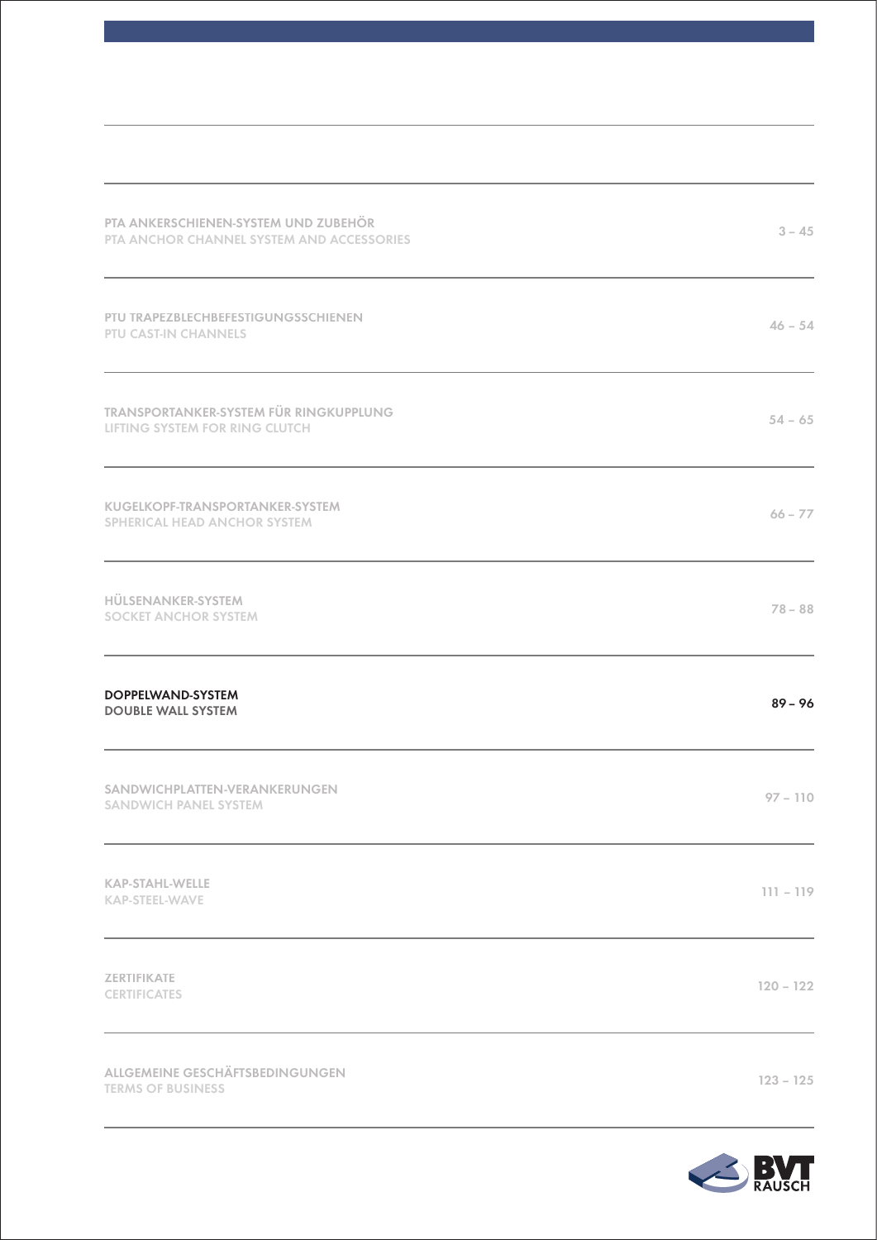| PTA ANKERSCHIENEN-SYSTEM UND ZUBEHÖR<br>PTA ANCHOR CHANNEL SYSTEM AND ACCESSORIES | $3 - 45$    |
|-----------------------------------------------------------------------------------|-------------|
| PTU TRAPEZBLECHBEFESTIGUNGSSCHIENEN<br><b>PTU CAST-IN CHANNELS</b>                | $46 - 54$   |
| <b>TRANSPORTANKER-SYSTEM FÜR RINGKUPPLUNG</b><br>LIFTING SYSTEM FOR RING CLUTCH   | $54 - 65$   |
| KUGELKOPF-TRANSPORTANKER-SYSTEM<br>SPHERICAL HEAD ANCHOR SYSTEM                   | $66 - 77$   |
| HÜLSENANKER-SYSTEM<br><b>SOCKET ANCHOR SYSTEM</b>                                 | $78 - 88$   |
| <b>DOPPELWAND-SYSTEM</b><br><b>DOUBLE WALL SYSTEM</b>                             | $89 - 96$   |
| SANDWICHPLATTEN-VERANKERUNGEN<br><b>SANDWICH PANEL SYSTEM</b>                     | $97 - 110$  |
| <b>KAP-STAHL-WELLE</b><br><b>KAP-STEEL-WAVE</b>                                   | $111 - 119$ |
| <b>ZERTIFIKATE</b><br><b>CERTIFICATES</b>                                         | $120 - 122$ |
| ALLGEMEINE GESCHÄFTSBEDINGUNGEN<br><b>TERMS OF BUSINESS</b>                       | $123 - 125$ |

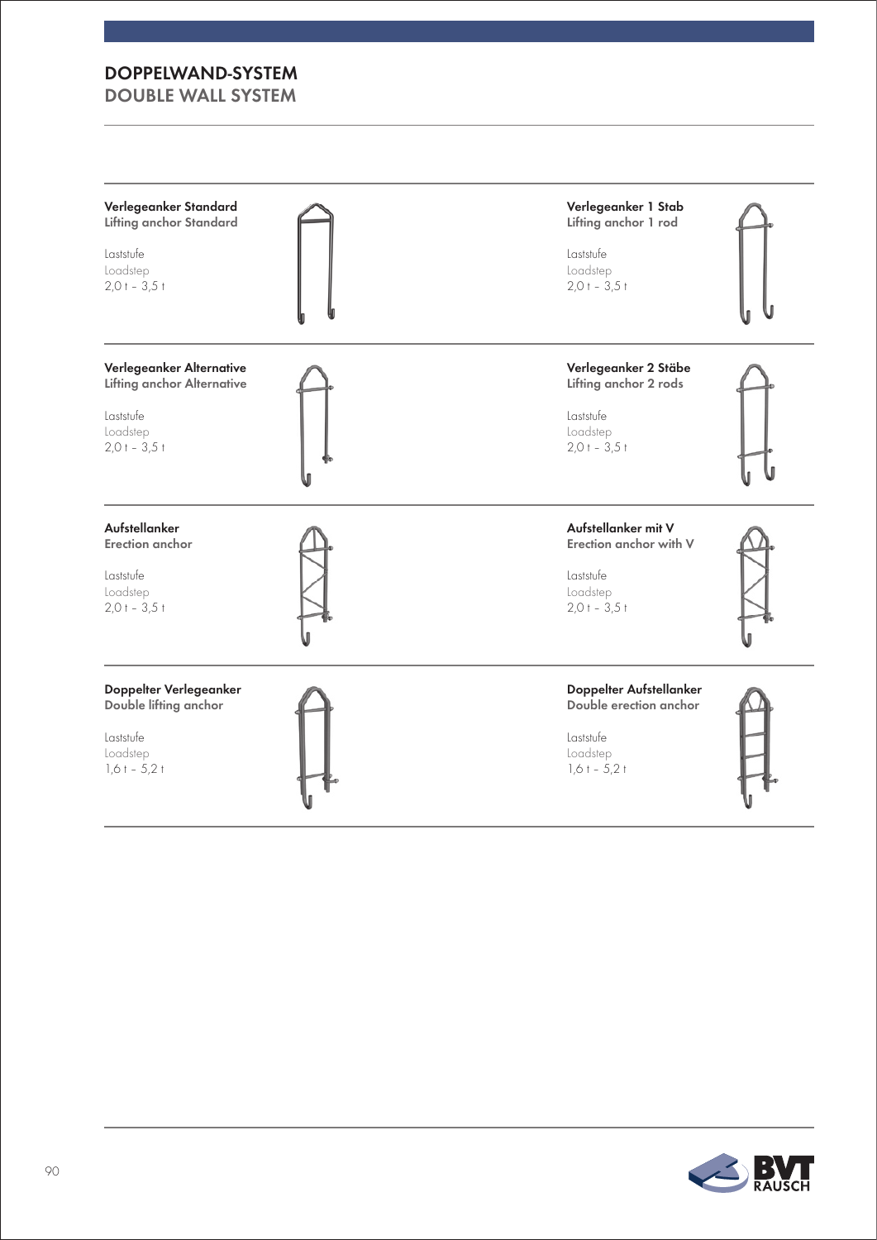| Verlegeanker Standard             | Verlegeanker 1 Stab     |
|-----------------------------------|-------------------------|
| <b>Lifting anchor Standard</b>    | Lifting anchor 1 rod    |
| Laststufe                         | Laststufe               |
| Loadstep                          | Loadstep                |
| $2,0+3,5+$                        | $2,0 + -3,5 +$          |
| Verlegeanker Alternative          | Verlegeanker 2 Stäbe    |
| <b>Lifting anchor Alternative</b> | Lifting anchor 2 rods   |
| Laststufe                         | Laststufe               |
| Loadstep                          | Loadstep                |
| $2,0+ -3,5+$                      | $2,0+3,5+$              |
| Aufstellanker                     | Aufstellanker mit V     |
| Erection anchor                   | Erection anchor with V  |
| Laststufe                         | Laststufe               |
| Loadstep                          | Loadstep                |
| $2,0+3,5+$                        | $2,0 + -3,5 +$          |
| Doppelter Verlegeanker            | Doppelter Aufstellanker |
| Double lifting anchor             | Double erection anchor  |
| Laststufe                         | Laststufe               |
| Loadstep                          | Loadstep                |
| $1,6t - 5,2t$                     | $1,6 + -5,2 +$          |

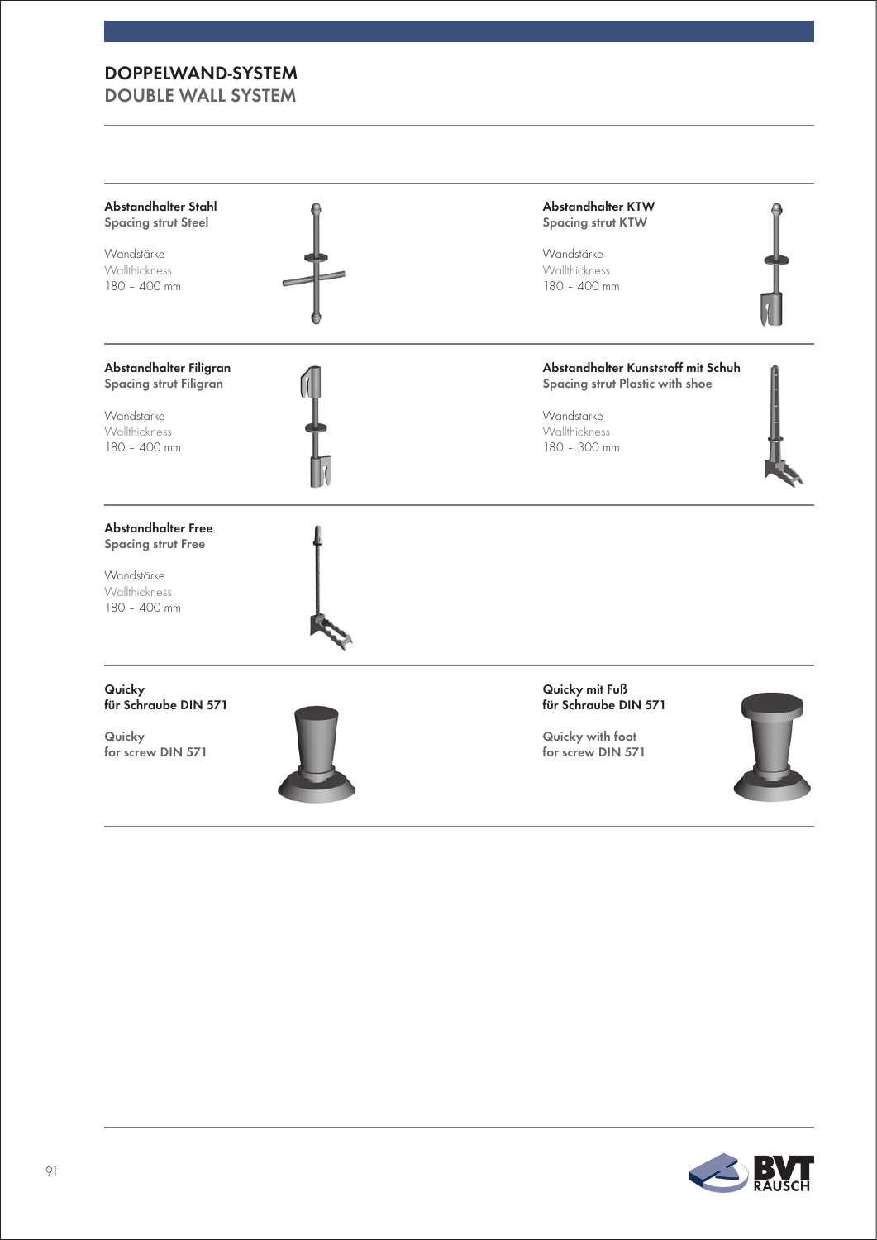### DoppelwanD-SyStem

Double wall SyStem



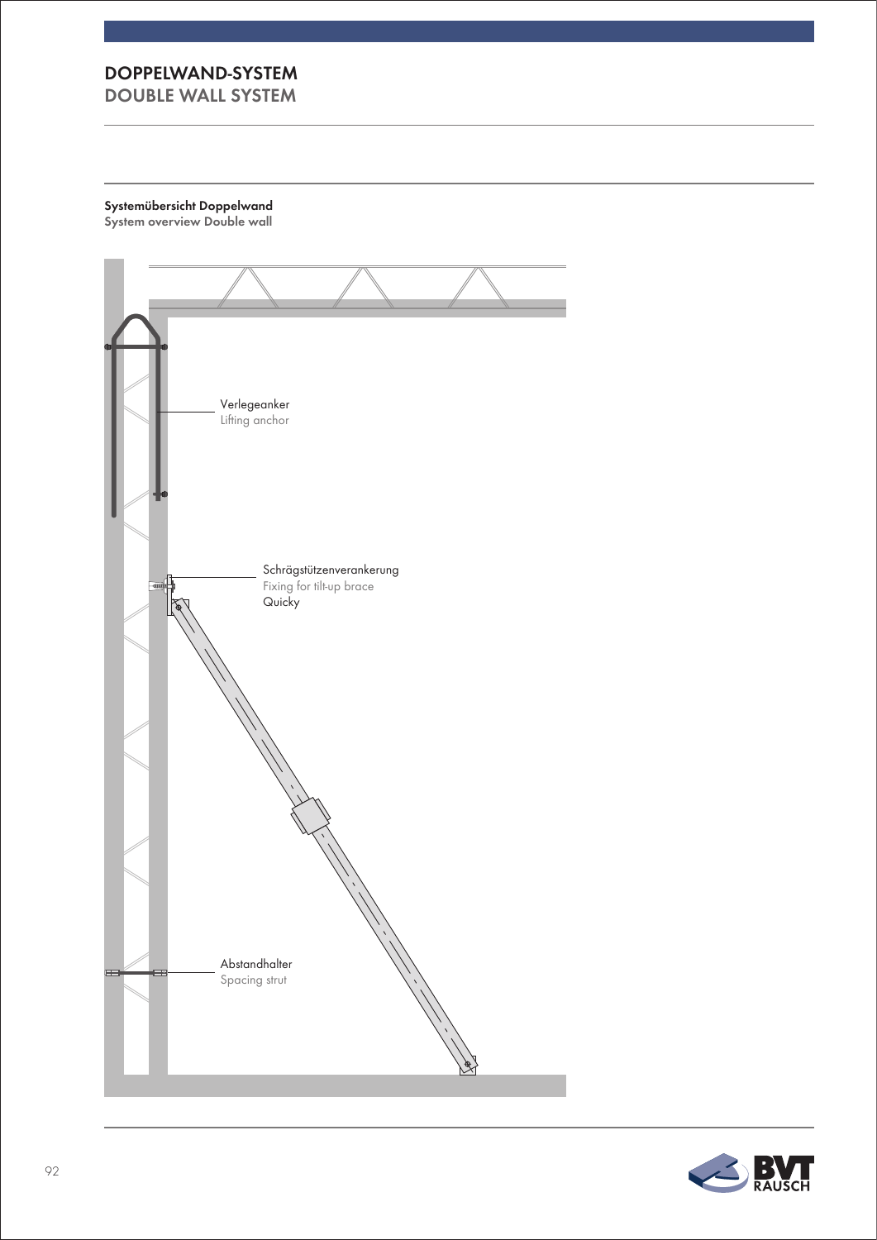Systemübersicht Doppelwand System overview Double wall



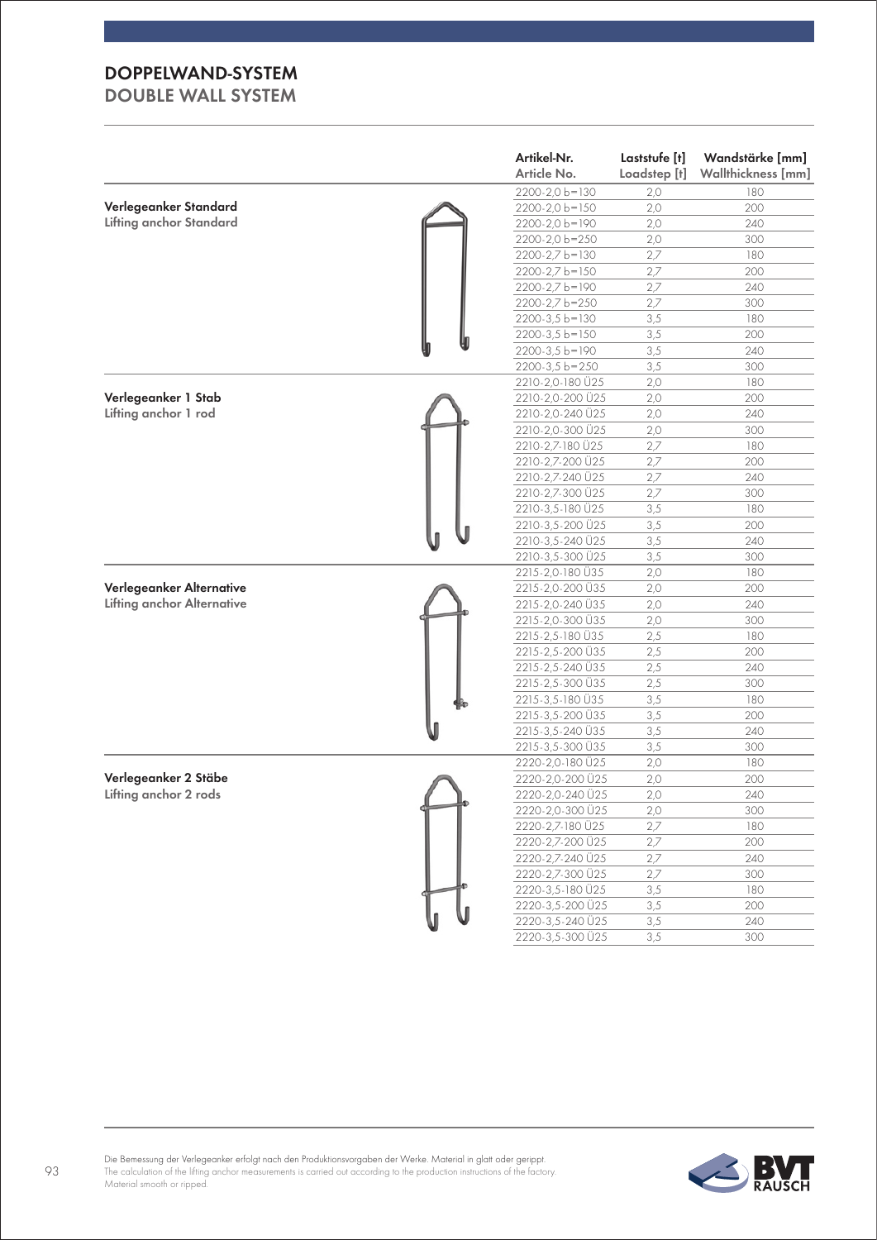|                                   | Artikel-Nr.<br>Article No.           | Laststufe [t]<br>Loadstep [t] | Wandstärke [mm]<br>Wallthickness [mm] |
|-----------------------------------|--------------------------------------|-------------------------------|---------------------------------------|
|                                   | 2200-2,0 b=130                       | 2,0                           | 180                                   |
| Verlegeanker Standard             | 2200-2,0 b=150                       | 2,0                           | 200                                   |
| <b>Lifting anchor Standard</b>    | 2200-2,0 b=190                       | 2,0                           | 240                                   |
|                                   | 2200-2,0 b=250                       | 2,0                           | 300                                   |
|                                   | 2200-2,7 b=130                       | 2,7                           | 180                                   |
|                                   | 2200-2,7 b=150                       | 2,7                           | 200                                   |
|                                   | 2200-2,7 b=190                       | 2,7                           | 240                                   |
|                                   | 2200-2,7 b=250                       | 2,7                           | 300                                   |
|                                   | $2200 - 3.5 b = 130$                 | 3,5                           | 180                                   |
|                                   | 2200-3,5 b=150                       | 3,5                           | 200                                   |
|                                   | $2200 - 3,5 b = 190$                 | 3,5                           | 240                                   |
|                                   | $2200 - 3,5 b = 250$                 | 3,5                           | 300                                   |
|                                   | 2210-2,0-180 Ü25                     | 2,0                           | 180                                   |
| Verlegeanker 1 Stab               | 2210-2,0-200 Ü25                     | 2,0                           | 200                                   |
| Lifting anchor 1 rod              | 2210-2,0-240 Ü25                     | 2,0                           | 240                                   |
|                                   | 2210-2,0-300 Ü25                     | 2,0                           | 300                                   |
|                                   | 2210-2,7-180 Ü25                     | 2,7                           | 180                                   |
|                                   | 2210-2,7-200 Ü25                     | 2,7                           | 200                                   |
|                                   | 2210-2,7-240 Ü25                     | 2,7                           | 240                                   |
|                                   | 2210-2,7-300 Ü25                     | 2,7                           | 300                                   |
|                                   | 2210-3,5-180 Ü25                     | 3,5                           | 180                                   |
|                                   | 2210-3,5-200 U25                     | 3,5                           | 200                                   |
|                                   | 2210-3,5-240 Ü25                     | 3,5                           | 240                                   |
|                                   | 2210-3,5-300 Ü25                     | 3,5                           | 300                                   |
|                                   | 2215-2,0-180 Ü35                     | 2,0                           | 180                                   |
| Verlegeanker Alternative          | 2215-2,0-200 Ü35                     | 2,0                           | 200                                   |
| <b>Lifting anchor Alternative</b> | 2215-2,0-240 Ü35                     | 2,0                           | 240                                   |
|                                   | 2215-2,0-300 Ü35                     | 2,0                           | 300                                   |
|                                   | 2215-2,5-180 Ü35                     | 2,5                           | 180                                   |
|                                   | 2215-2,5-200 Ü35                     | 2,5                           | 200                                   |
|                                   | 2215-2,5-240 Ü35                     | 2,5                           | 240                                   |
|                                   | 2215-2,5-300 Ü35                     | 2,5                           | 300                                   |
|                                   | 2215-3,5-180 Ü35                     | 3,5                           | 180                                   |
|                                   | 2215-3,5-200 Ü35                     | 3,5                           | 200                                   |
|                                   | 2215-3,5-240 Ü35                     | 3,5                           | 240                                   |
|                                   | 2215-3,5-300 Ü35                     | 3,5                           | 300                                   |
|                                   | 2220-2,0-180 Ü25                     | 2,0                           | 180                                   |
| Verlegeanker 2 Stäbe              |                                      | 2,0                           | 200                                   |
| Lifting anchor 2 rods             | 2220-2,0-200 Ü25<br>2220-2,0-240 Ü25 | 2,0                           | 240                                   |
|                                   | 2220-2,0-300 Ü25                     |                               | 300                                   |
|                                   | 2220-2,7-180 Ü25                     | 2,0<br>2,7                    | 180                                   |
|                                   | 2220-2,7-200 Ü25                     |                               | 200                                   |
|                                   |                                      | 2,7                           |                                       |
|                                   | 2220-2,7-240 Ü25<br>2220-2,7-300 Ü25 | 2,7<br>2,7                    | 240<br>300                            |
|                                   | 2220-3,5-180 Ü25                     |                               | 180                                   |
|                                   |                                      | 3,5                           |                                       |
|                                   | 2220-3,5-200 Ü25                     | 3,5                           | 200                                   |
|                                   | 2220-3,5-240 Ü25                     | 3,5                           | 240                                   |
|                                   | 2220-3,5-300 Ü25                     | 3,5                           | 300                                   |

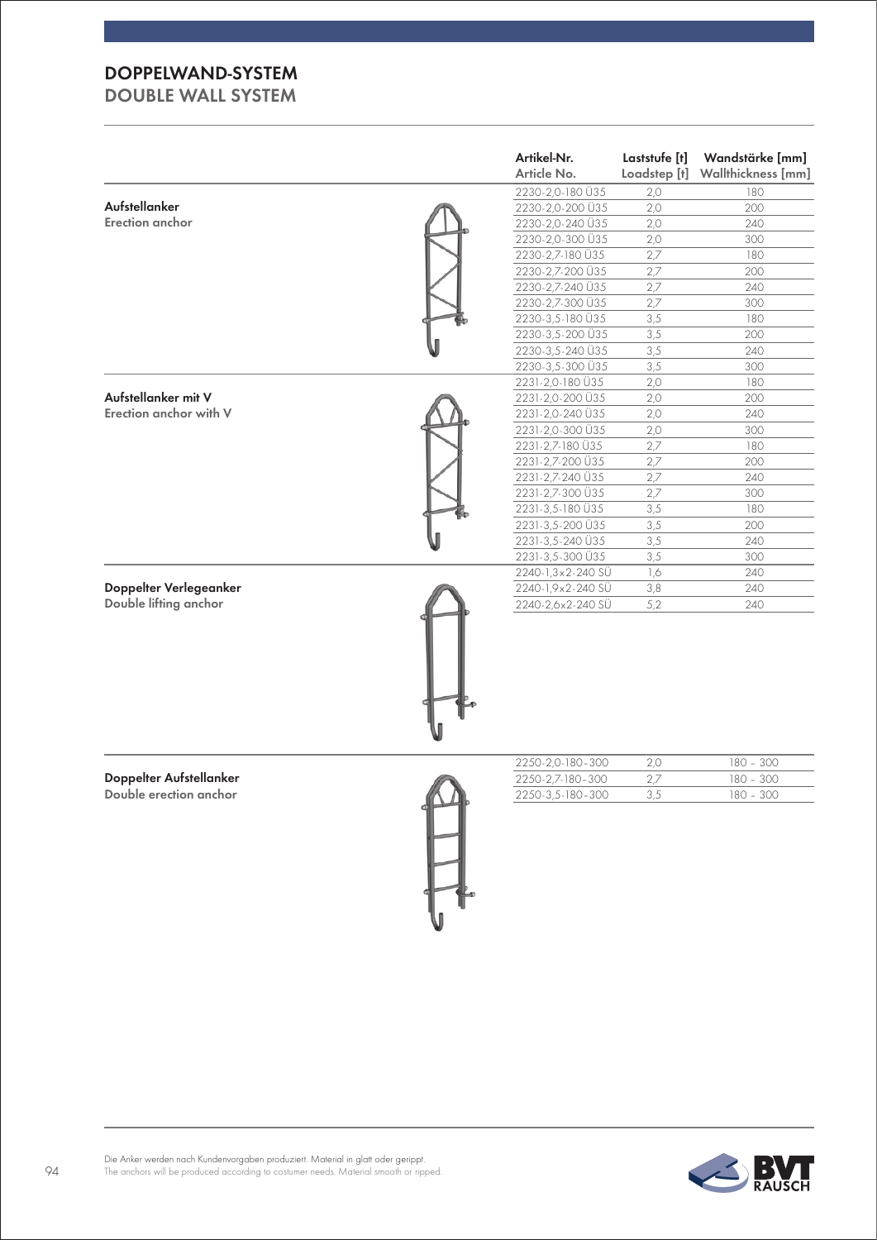|                         | Artikel-Nr.<br>Article No. | Laststufe [t]<br>Loadstep [t] | Wandstärke [mm]<br>Wallthickness [mm] |
|-------------------------|----------------------------|-------------------------------|---------------------------------------|
|                         | 2230-2,0-180 Ü35           | 2,0                           | 180                                   |
| <b>Aufstellanker</b>    | 2230-2,0-200 Ü35           | 2,0                           | 200                                   |
| Erection anchor         | 2230-2,0-240 Ü35           | 2,0                           | 240                                   |
|                         | 2230-2,0-300 Ü35           | 2,0                           | 300                                   |
|                         | 2230-2,7-180 Ü35           | 2,7                           | 180                                   |
|                         | 2230-2,7-200 Ü35           | 2,7                           | 200                                   |
|                         | 2230-2,7-240 Ü35           | 2,7                           | 240                                   |
|                         | 2230-2,7-300 Ü35           | 2,7                           | 300                                   |
|                         | 2230-3,5-180 Ü35           | 3,5                           | 180                                   |
|                         | 2230-3,5-200 Ü35           | 3,5                           | 200                                   |
|                         | 2230-3,5-240 U35           | 3,5                           | 240                                   |
|                         | 2230-3,5-300 Ü35           | 3,5                           | 300                                   |
|                         | 2231-2,0-180 Ü35           | 2,0                           | 180                                   |
| Aufstellanker mit V     | 2231-2,0-200 Ü35           | 2,0                           | 200                                   |
| Erection anchor with V  | 2231-2,0-240 Ü35           | 2,0                           | 240                                   |
|                         | 2231-2,0-300 Ü35           | 2,0                           | 300                                   |
|                         | 2231-2,7-180 Ü35           | 2,7                           | 180                                   |
|                         | 2231-2,7-200 Ü35           | 2,7                           | 200                                   |
|                         | 2231-2,7-240 Ü35           | 2,7                           | 240                                   |
|                         | 2231-2,7-300 Ü35           | 2,7                           | 300                                   |
|                         | 2231-3,5-180 Ü35           | 3,5                           | 180                                   |
|                         | 2231-3,5-200 Ü35           | 3,5                           | 200                                   |
|                         | 2231-3,5-240 Ü35           | 3,5                           | 240                                   |
|                         | 2231-3,5-300 Ü35           | 3,5                           | 300                                   |
|                         | 2240-1,3x2-240 SÜ          | 1,6                           | 240                                   |
| Doppelter Verlegeanker  | 2240-1, 9x2-240 SÜ         | 3,8                           | 240                                   |
| Double lifting anchor   | 2240-2,6x2-240 SÜ          | 5,2                           | 240                                   |
|                         |                            |                               |                                       |
|                         | 2250-2,0-180-300           | 2,0                           | 180 - 300                             |
| Doppelter Aufstellanker | 2250-2,7-180-300           | 2,7                           | 180 - 300                             |
| Double erection anchor  | 2250-3,5-180-300           | 3,5                           | 180 - 300                             |
|                         |                            |                               |                                       |

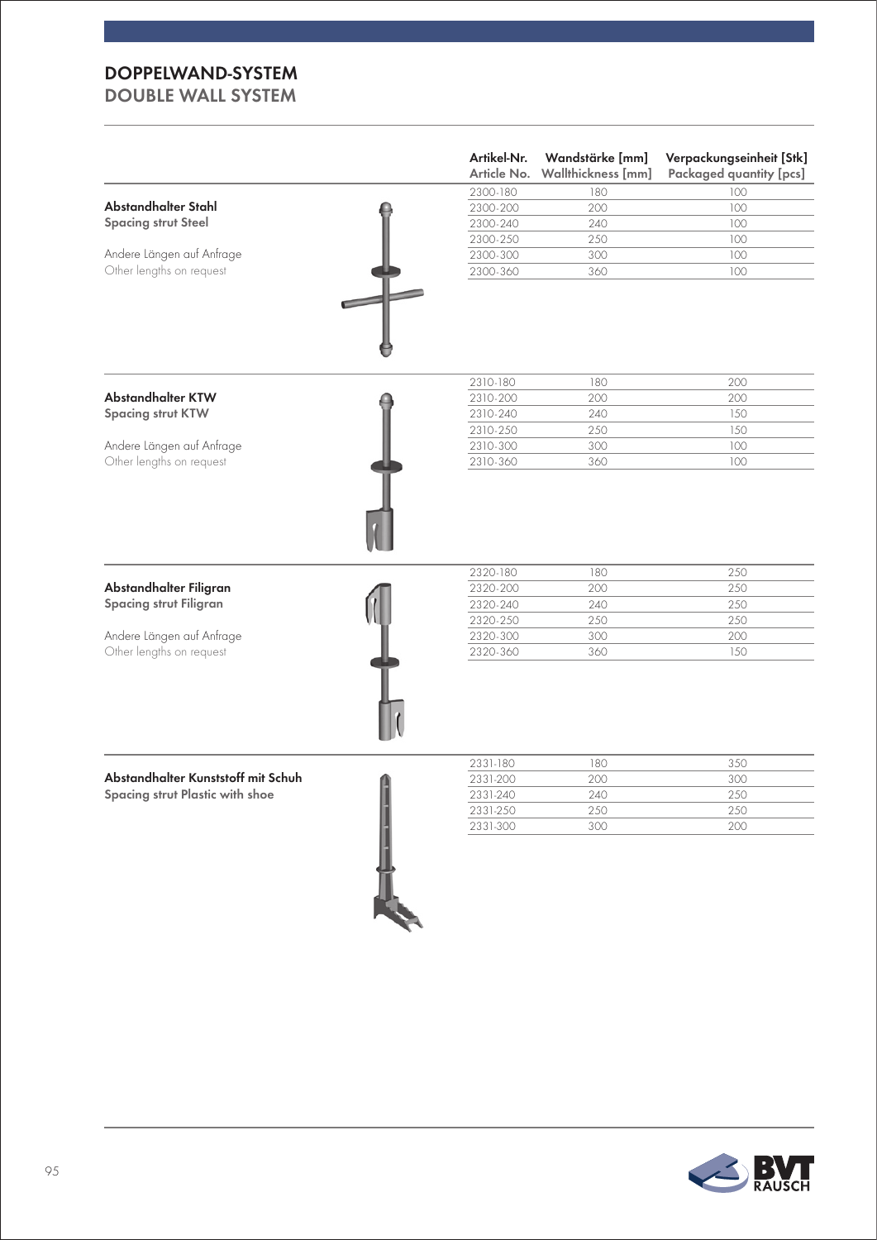| Article No.                                                          | Wandstärke [mm]<br>Wallthickness [mm]                    | Verpackungseinheit [Stk]<br><b>Packaged quantity [pcs]</b> |
|----------------------------------------------------------------------|----------------------------------------------------------|------------------------------------------------------------|
| 2300-180                                                             | 180                                                      | 100                                                        |
| 2300-200                                                             | 200                                                      | 100                                                        |
| 2300-240                                                             | 240                                                      | 100                                                        |
| 2300-250                                                             | 250                                                      | 100                                                        |
| 2300-300                                                             | 300                                                      | 100                                                        |
| 2300-360                                                             | 360                                                      | 100                                                        |
|                                                                      |                                                          |                                                            |
| 2310-180                                                             | 180                                                      | 200                                                        |
|                                                                      | 200                                                      | 200                                                        |
| 2310-240                                                             | 240                                                      | 150                                                        |
| 2310-250                                                             | 250                                                      | 150                                                        |
| 2310-300                                                             | 300                                                      | 100                                                        |
| 2310-360                                                             | 360                                                      | 100                                                        |
| 2320-180<br>2320-200<br>2320-240<br>2320-250<br>2320-300<br>2320-360 | 180<br>200<br>240<br>250<br>300<br>360                   | 250<br>250<br>250<br>250<br>200<br>150                     |
| 2331-180                                                             | 180                                                      | 350                                                        |
|                                                                      |                                                          | 300                                                        |
|                                                                      |                                                          | 250                                                        |
|                                                                      |                                                          | 250<br>200                                                 |
|                                                                      |                                                          |                                                            |
|                                                                      | 2310-200<br>2331-200<br>2331-240<br>2331-250<br>2331-300 | 200<br>240<br>250<br>300                                   |